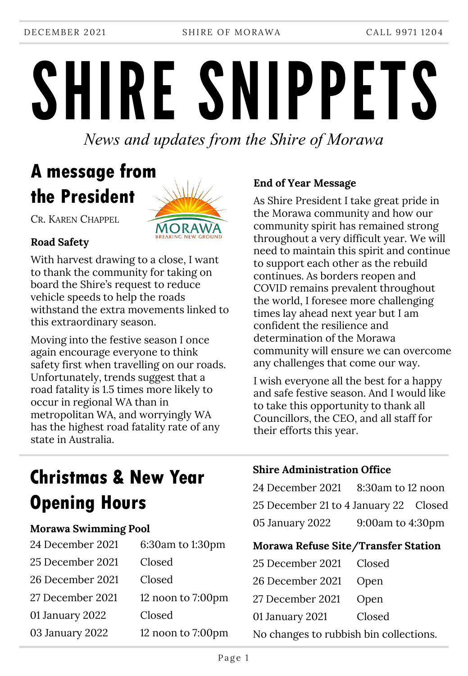DECEMBER 2021 SHIRE OF MORAWA CALL 9971 1204

# SHIRE SNIPPETS

*News and updates from the Shire of Morawa*

# **A message from the President**



CR. KAREN CHAPPEL

#### **Road Safety**

With harvest drawing to a close, I want to thank the community for taking on board the Shire's request to reduce vehicle speeds to help the roads withstand the extra movements linked to this extraordinary season.

Moving into the festive season I once again encourage everyone to think safety first when travelling on our roads. Unfortunately, trends suggest that a road fatality is 1.5 times more likely to occur in regional WA than in metropolitan WA, and worryingly WA has the highest road fatality rate of any state in Australia.

#### **End of Year Message**

As Shire President I take great pride in the Morawa community and how our community spirit has remained strong throughout a very difficult year. We will need to maintain this spirit and continue to support each other as the rebuild continues. As borders reopen and COVID remains prevalent throughout the world, I foresee more challenging times lay ahead next year but I am confident the resilience and determination of the Morawa community will ensure we can overcome any challenges that come our way.

I wish everyone all the best for a happy and safe festive season. And I would like to take this opportunity to thank all Councillors, the CEO, and all staff for their efforts this year.

## **Christmas & New Year Opening Hours**

#### **Morawa Swimming Pool**

| 24 December 2021 | 6:30am to 1:30pm  |
|------------------|-------------------|
| 25 December 2021 | Closed            |
| 26 December 2021 | Closed            |
| 27 December 2021 | 12 noon to 7:00pm |
| 01 January 2022  | Closed            |
| 03 January 2022  | 12 noon to 7:00pm |

#### **Shire Administration Office**

| 24 December 2021 8:30am to 12 noon    |                        |  |
|---------------------------------------|------------------------|--|
| 25 December 21 to 4 January 22 Closed |                        |  |
| 05 January 2022                       | $9:00$ am to $4:30$ pm |  |

#### **Morawa Refuse Site/Transfer Station**

| 25 December 2021 Closed                |        |  |  |  |
|----------------------------------------|--------|--|--|--|
| 26 December 2021 Open                  |        |  |  |  |
| 27 December 2021 Open                  |        |  |  |  |
| 01 January 2021                        | Closed |  |  |  |
| No changes to rubbish bin collections. |        |  |  |  |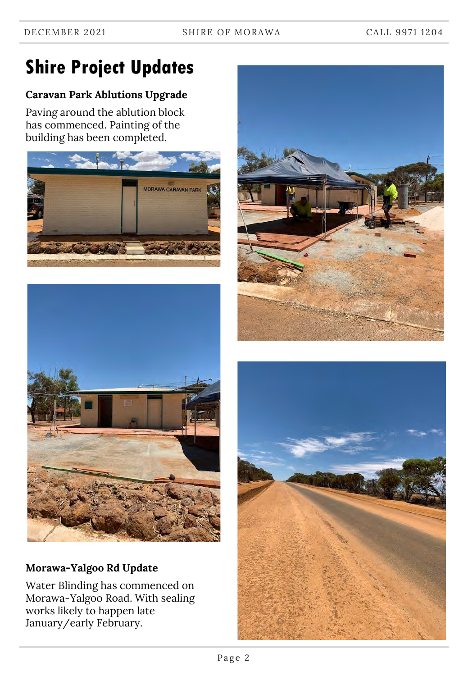# **Shire Project Updates**

#### **Caravan Park Ablutions Upgrade**

Paving around the ablution block has commenced. Painting of the building has been completed.





#### **Morawa-Yalgoo Rd Update**

Water Blinding has commenced on Morawa-Yalgoo Road. With sealing works likely to happen late January/early February.



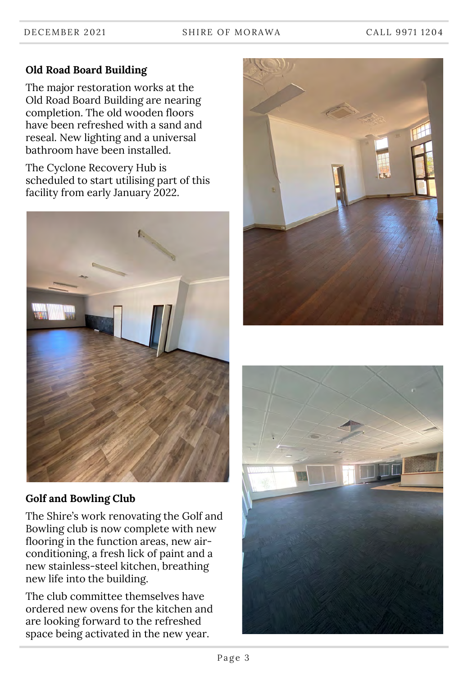#### **Old Road Board Building**

The major restoration works at the Old Road Board Building are nearing completion. The old wooden floors have been refreshed with a sand and reseal. New lighting and a universal bathroom have been installed.

The Cyclone Recovery Hub is scheduled to start utilising part of this facility from early January 2022.



#### **Golf and Bowling Club**

The Shire's work renovating the Golf and Bowling club is now complete with new flooring in the function areas, new airconditioning, a fresh lick of paint and a new stainless-steel kitchen, breathing new life into the building.

The club committee themselves have ordered new ovens for the kitchen and are looking forward to the refreshed space being activated in the new year.



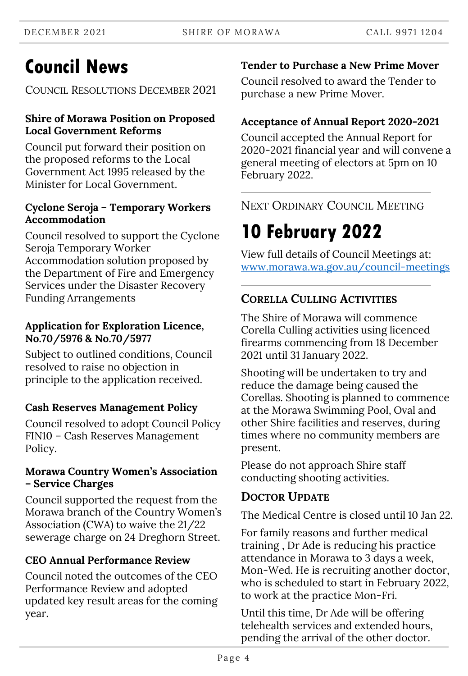# **Council News**

COUNCIL RESOLUTIONS DECEMBER 2021

#### **Shire of Morawa Position on Proposed Local Government Reforms**

Council put forward their position on the proposed reforms to the Local Government Act 1995 released by the Minister for Local Government.

#### **Cyclone Seroja – Temporary Workers Accommodation**

Council resolved to support the Cyclone Seroja Temporary Worker Accommodation solution proposed by the Department of Fire and Emergency Services under the Disaster Recovery Funding Arrangements

#### **Application for Exploration Licence, No.70/5976 & No.70/5977**

Subject to outlined conditions, Council resolved to raise no objection in principle to the application received.

### **Cash Reserves Management Policy**

Council resolved to adopt Council Policy FIN10 – Cash Reserves Management Policy.

#### **Morawa Country Women's Association – Service Charges**

Council supported the request from the Morawa branch of the Country Women's Association (CWA) to waive the 21/22 sewerage charge on 24 Dreghorn Street.

## **CEO Annual Performance Review**

Council noted the outcomes of the CEO Performance Review and adopted updated key result areas for the coming year.

## **Tender to Purchase a New Prime Mover**

Council resolved to award the Tender to purchase a new Prime Mover.

## **Acceptance of Annual Report 2020-2021**

Council accepted the Annual Report for 2020-2021 financial year and will convene a general meeting of electors at 5pm on 10 February 2022.

NEXT ORDINARY COUNCIL MEETING

# **10 February 2022**

View full details of Council Meetings at: [www.morawa.wa.gov.au/council-meetings](http://www.morawa.wa.gov.au/council-meetings)

## **CORELLA CULLING ACTIVITIES**

The Shire of Morawa will commence Corella Culling activities using licenced firearms commencing from 18 December 2021 until 31 January 2022.

Shooting will be undertaken to try and reduce the damage being caused the Corellas. Shooting is planned to commence at the Morawa Swimming Pool, Oval and other Shire facilities and reserves, during times where no community members are present.

Please do not approach Shire staff conducting shooting activities.

## **DOCTOR UPDATE**

The Medical Centre is closed until 10 Jan 22.

For family reasons and further medical training , Dr Ade is reducing his practice attendance in Morawa to 3 days a week, Mon-Wed. He is recruiting another doctor, who is scheduled to start in February 2022, to work at the practice Mon-Fri.

Until this time, Dr Ade will be offering telehealth services and extended hours, pending the arrival of the other doctor.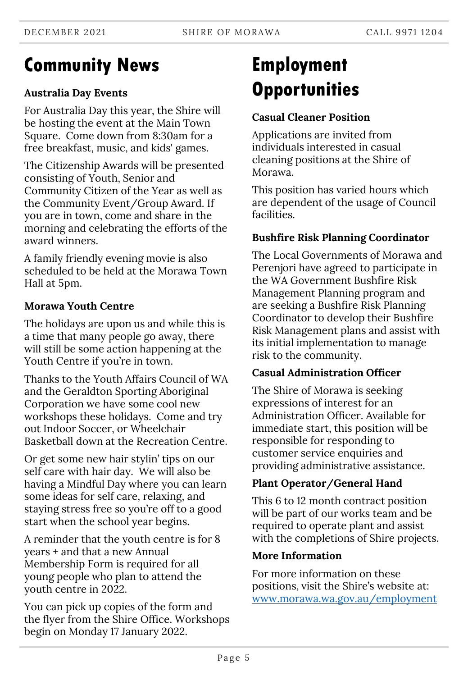## **Community News**

#### **Australia Day Events**

For Australia Day this year, the Shire will be hosting the event at the Main Town Square. Come down from 8:30am for a free breakfast, music, and kids' games.

The Citizenship Awards will be presented consisting of Youth, Senior and Community Citizen of the Year as well as the Community Event/Group Award. If you are in town, come and share in the morning and celebrating the efforts of the award winners.

A family friendly evening movie is also scheduled to be held at the Morawa Town Hall at 5pm.

#### **Morawa Youth Centre**

The holidays are upon us and while this is a time that many people go away, there will still be some action happening at the Youth Centre if you're in town.

Thanks to the Youth Affairs Council of WA and the Geraldton Sporting Aboriginal Corporation we have some cool new workshops these holidays. Come and try out Indoor Soccer, or Wheelchair Basketball down at the Recreation Centre.

Or get some new hair stylin' tips on our self care with hair day. We will also be having a Mindful Day where you can learn some ideas for self care, relaxing, and staying stress free so you're off to a good start when the school year begins.

A reminder that the youth centre is for 8 years + and that a new Annual Membership Form is required for all young people who plan to attend the youth centre in 2022.

You can pick up copies of the form and the flyer from the Shire Office. Workshops begin on Monday 17 January 2022.

# **Employment Opportunities**

#### **Casual Cleaner Position**

Applications are invited from individuals interested in casual cleaning positions at the Shire of Morawa.

This position has varied hours which are dependent of the usage of Council facilities.

#### **Bushfire Risk Planning Coordinator**

The Local Governments of Morawa and Perenjori have agreed to participate in the WA Government Bushfire Risk Management Planning program and are seeking a Bushfire Risk Planning Coordinator to develop their Bushfire Risk Management plans and assist with its initial implementation to manage risk to the community.

#### **Casual Administration Officer**

The Shire of Morawa is seeking expressions of interest for an Administration Officer. Available for immediate start, this position will be responsible for responding to customer service enquiries and providing administrative assistance.

#### **Plant Operator/General Hand**

This 6 to 12 month contract position will be part of our works team and be required to operate plant and assist with the completions of Shire projects.

#### **More Information**

For more information on these positions, visit the Shire's website at: [www.morawa.wa.gov.au/employment](http://www.morawa.wa.gov.au/employment)